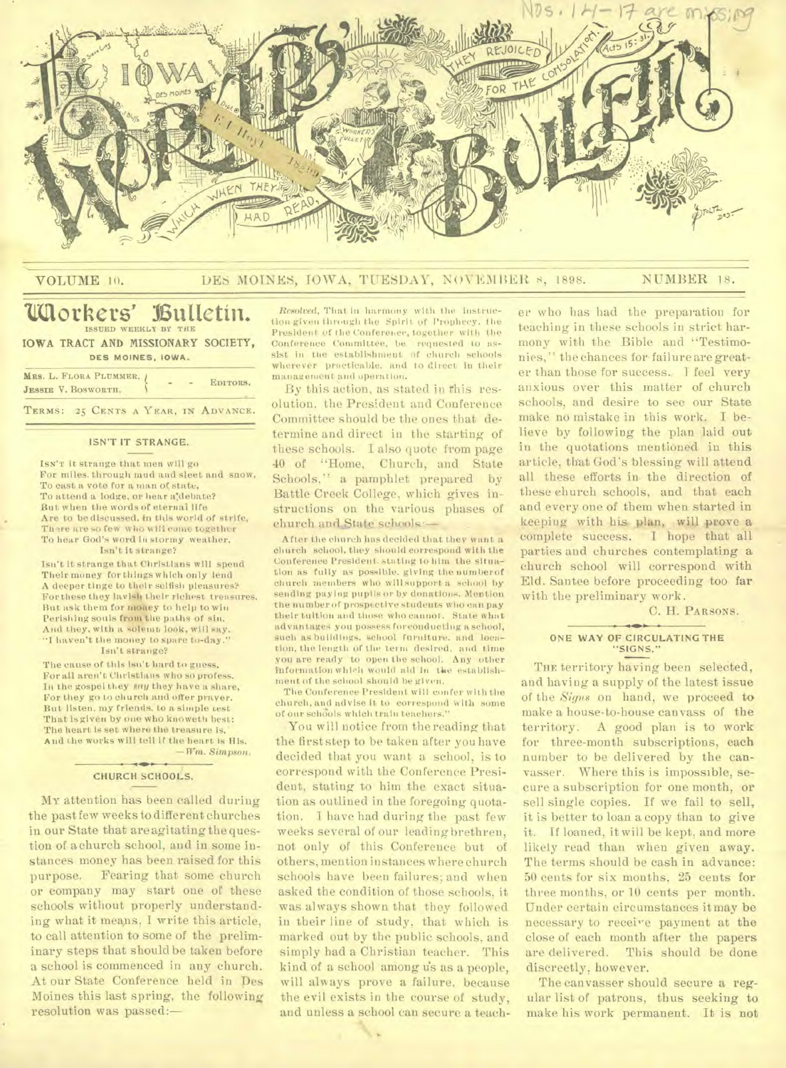

# VOLUME to. DES MOINES, IOWA, TUESDAY, NOVEMBER 8, 1898. NUMBER 18.

## **Workers' Bulletin. ISSUED WEEKLY BY THE IOWA TRACT AND MISSIONARY SOCIETY,**

**DES MOINES, IOWA.** 

| MRS. L. FLORA PLUMMER. /<br>JESSIE V. BOSWORTH. |  |  |  | EDITORS.                            |
|-------------------------------------------------|--|--|--|-------------------------------------|
|                                                 |  |  |  | TERMS: 25 CENTS A YEAR, IN ADVANCE. |

#### ISN'T IT STRANGE.

IsN'T it strange that men will go For miles. through mud and sleet and snow, To east a vote for a man of state, To attend a lodge, or hear a'debate? But when the words of eternal life Are to be discussed, in this world of strife, There are so few who will come together To hear God's word in stormy weather, Isn't it strange?

Isn't it strange that Christians will spend Their money for things which only lend A deeper tinge to their selfish pleasures? For these they lavish their richest treasures. But ask them for money to help to win Perishing souls from the paths of sin. And they, with a solemn look, will say. "I haven't the money to spare to-day." Isn't strange?

The cause of this isn't hard to guess. For all aren't Christians who so profess. In the gospel they say they have a share, For they go to church and offer prayer. But listen, my friends, to a simple test That is given by one who knoweth best: The heart is set where the treasure is, **A** nd the works will tell if the heart is His. —Wm. *Simpson.* 

#### $-10+1$ CHURCH SCHOOLS.

MY attention has been called during the past few weeks to different churches in our State that areagitating the question of a church school, and in some instances money has been raised for this purpose. Fearing that some church or company may start one of these schools without properly understanding what it means, I write this article, to call attention to some of the preliminary steps that should be taken before a school is commenced in any church. At our State Conference held in Des Moines this last spring, the following resolution was passed:—

*Resolved,* That In harmony with the instruction given through the Spirit of Prophecy. the President of the Conference, together with the Conference Committee, be requested to assist in the establishment of church schools wherever practicable, and to direct in their management and operation.

By this action, as stated in this resolution, the President and Conference Committee should be the ones that determine and direct in the starting of these schools. I also quote from page 40 of "Home, Church, and State Schools," a pamphlet prepared by Battle Creek College, which gives instructions on the various phases of church and State schools:-

After the church has decided that they want a church school, they should correspond with the Conference President. stating to him the situation as fully as possible. giving the numberof church **Members** who will support a school by sending paying pupils or by donations. Mention the number of prospective students who can pay their tuition and those who cannot. State what advantages you possess foreonducting a school, such as buildings, school furniture, and location, the length of the tern, desired, and time you are ready to open the school. Any other information which would aid in the establishment of the school should be given.

The Conference President will confer with the church, and advise it to correspond with some of our schools which train teachers."

You will notice from the reading that the first step to be taken after you have decided that you want a school, is to correspond with the Conference President, stating to him the exact situation as outlined in the foregoing quotation. I have had during the past few weeks several of our leading brethren, not only of this Conference but of others, mention instances where church schools have been failures; and when asked the condition of those schools, it was always shown that they followed in their line of study, that which is marked out by the public schools, and simply had a Christian teacher. This kind of a school among us as a people, will always prove a failure, because the evil exists in the course of study, and unless a school can secure a teacher who has had the preparation for teaching in these schools in strict harmony with the Bible and "Testimonies, " the chances for failure are greater than those for success. I feel very anxious over this matter of church schools, and desire to see our State make no mistake in this work. I believe by following the plan laid out in the quotations mentioned in this article, that God's blessing will attend all these efforts in. the direction of these church schools, and that each and every one of them when started in keeping with his plan, will prove a complete success. I hope that all parties and churches contemplating a church school will correspond with Eld. Santee before proceeding too far with the preliminary work.

C. H. PARSONS.

#### ONE WAY OF CIRCULATING THE "SIGNS."

THE territory having been selected, and having a supply of the latest issue of the *Signs* on hand, we proceed to make a house-to-house canvass of the territory. A good plan is to work for three-month subscriptions, each number to be delivered by the canvasser. Where this is impossible, secure a subscription for one month, or sell single copies. If we fail to sell, it is better to loan a copy than to give it. If loaned, it will be kept, and more likely read than when given away. The terms should be cash in advance: 50 cents for six months, 25 cents for three months, or 10 cents per month. Under certain circumstances it may be necessary to receive payment at the close of each month after the papers are delivered. This should be done discreetly, however.

The canvasser should secure a regular list of patrons, thus seeking to make his work permanent. It is not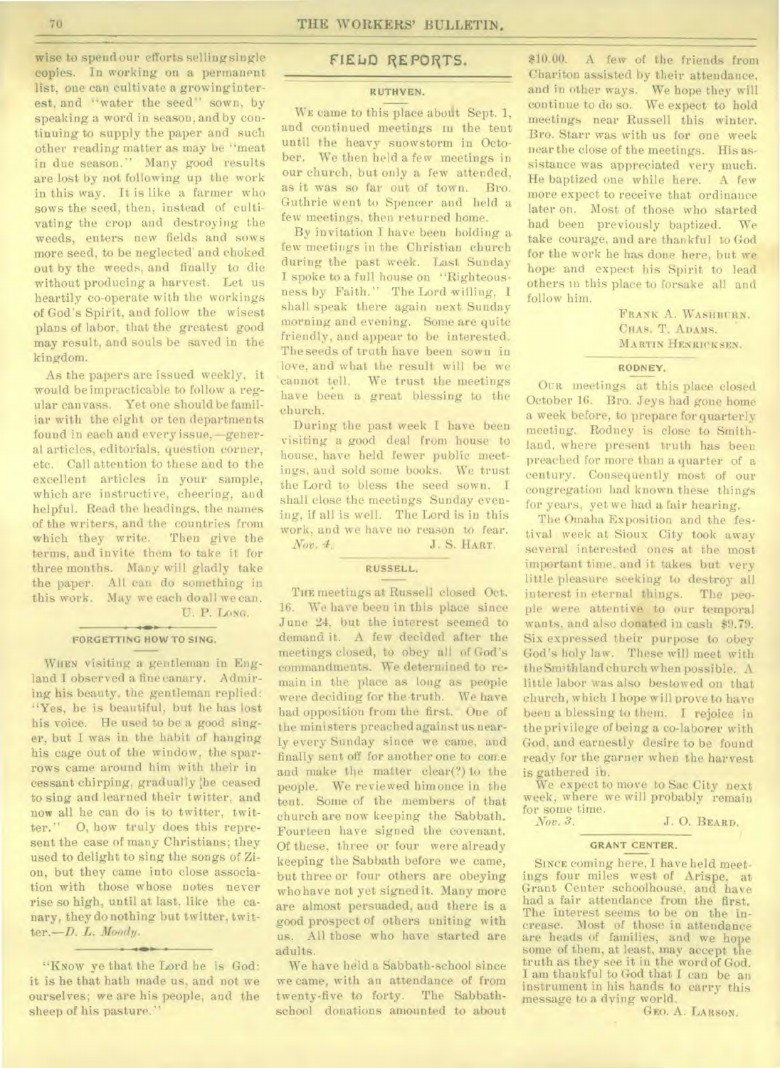wise to spend our efforts selling single copies. In working on a permanent list, one can cultivate a growing interest, and "water the seed" sown, by speaking a word in season, and by continuing to supply the paper and such other reading matter as may be "meat in due season." Many good results are lost by not following up the work in this way. It is like a farmer who sows the seed, then, instead of cultivating the crop and destroying the weeds, enters new fields and sows more seed, to be neglected" and choked out by the weeds, and finally to die without producing a harvest. Let us heartily co-operate with the workings of God's Spirit, and follow the wisest plans of labor, that the greatest good may result, and souls be saved in the kingdom.

As the papers are issued weekly, it would be impracticable to follow a regular canvass. Yet one should be familiar with the eight or ten departments found in each and every issue,—general articles, editorials, question corner, etc. Call attention to these and to the excellent articles in your sample, which are instructive, cheering, and helpful. Read the headings, the names of the writers, and the countries from which they write. Then give the terms, and invite them to take it for three months. Many will gladly take the paper. All can do something in this work. May we each do all we can. U. P. LONG.

# **FORGETTING HOW TO SING.**

WHEN visiting a gentleman in England I observed a fine canary. Admiring his beauty, the gentleman replied: "Yes, he is beautiful, but he has lost his voice. He used to be a good singer, but I was in the habit of hanging his cage out of the window, the sparrows came around him with their in cessant chirping, gradually the ceased to sing and learned their twitter, and now all he can do is to twitter, twitter." 0, how truly does this represent the case of many Christians; they used to delight to sing the songs of Zion, but they came into close association with those whose notes never rise so high, until at last. like the canary, they donothing but twitter, twitter.—D. *L. Moody.* 

"KNOW ye that the Lord he is God: it is he that hath made us, and not we ourselves; we are his people, and the sheep of his pasture."

 $+$   $+$ 

## **FIELD REPORTS.**

#### **RUTHVEN.**

WE came to this place about Sept. 1, and continued meetings in the tent until the heavy snowstorm in October. We then held a few meetings in our church, but only a few attended, as it was so far out of town. Bro. Guthrie went to Spencer and held a few meetings, then returned home.

By invitation I have been holding a few meetings in the Christian church during the past week. Last Sunday I spoke to a full house on "Righteousness by Faith." The Lord willing, I shall speak there again next Sunday morning and evening. Some are quite friendly, and appear to be interested. The seeds of truth have been sown in love, and what the result will be we cannot tell. We trust the meetings have been a great blessing to the church.

During the past week I have been visiting a good deal from house to house, have held fewer public meetings, and sold some books. We trust the Lord to bless the seed sown. I shall close the meetings Sunday evening, if all is well. The Lord is in this work, and we have no reason to fear. *Nov. 4.* **J. S. HART.** 

#### **RUSSELL,**

THE meetings at Russell closed Oct. 16. We have been in this place since June 24, but the interest seemed to demand it. A few decided after the meetings closed, to obey all of God's commandments. We determined to remain in the place as long as people were deciding for the•truth. We have had opposition from the first. One of the ministers preached against us nearly every Sunday since we came, and finally sent off for another one to come and make the matter clear(?) to the people. We reviewed him once in the tent. Some of the members of that church are now keeping the Sabbath. Fourteen have signed the covenant. Of these, three or four were already keeping the Sabbath before we came, but three or four others are obeying who have not yet signed it. Many more are almost persuaded, and there is a good prospect of others uniting with us. All those who have started are adults.

We have held a Sabbath-school since we came, with an attendance of from twenty-five to forty. The Sabbathschool donations amounted to about

\$10.00. A few of the friends from Chariton assisted by their attendance, and in other ways. We hope they will continue to do so. We expect to hold meetings near Russell this winter. Bro. Starr was with us for one week near the close of the meetings. His assistance was appreciated very much. He baptized one while here. A few more expect to receive that ordinance later on. Most of those who started had been previously baptized. We take courage, and are thankful to God for the work he has done here, but we hope and expect his Spirit to lead others in this place to forsake all and follow him.

> FRANK A. WASHBURN. CHAS. T. ADAMS. MARTIN HENRICKSEN.

### **RODNEY,**

OUR meetings at this place closed October 16. Bro. Jeys had gone home a week before, to prepare for quarterly meeting. Rodney is close to Smithland, where present truth has been preached for more than a quarter of a century. Consequently most of our congregation had known these things for years, yet we had a fair hearing.

The Omaha Exposition and the festival week at Sioux City took away several interested ones at the most important time, and it takes but very little pleasure seeking to destroy all interest in eternal things. The people were attentive to our temporal wants, and also donated in cash \$9.79. Six expressed their purpose to obey God's holy law. These will meet with the Smithland church when possible. A little labor was also bestowed on that church, which I hope will prove to have been a blessing to them. I rejoice in the privilege of being a co-laborer with God, and earnestly desire to be found ready for the garner when the harvest is gathered in.

We expect to move to Sac City next week, where we will probably remain for some time.

*Nov. 3. J. 0.* BEARD.

#### **GRANT CENTER.**

SINCE coming here, I have held meetings four miles west of Arispe, at Grant Center schoolhouse, and have had a fair attendance from the first. The interest seems to be on the increase. Most of those in attendance are heads of families, and we hope some of them, at least, may accept the truth as they see it in the word of God. I am thankful to God that I can be an instrument in his hands to carry this message to a dying world.

GEO. A. LARSON.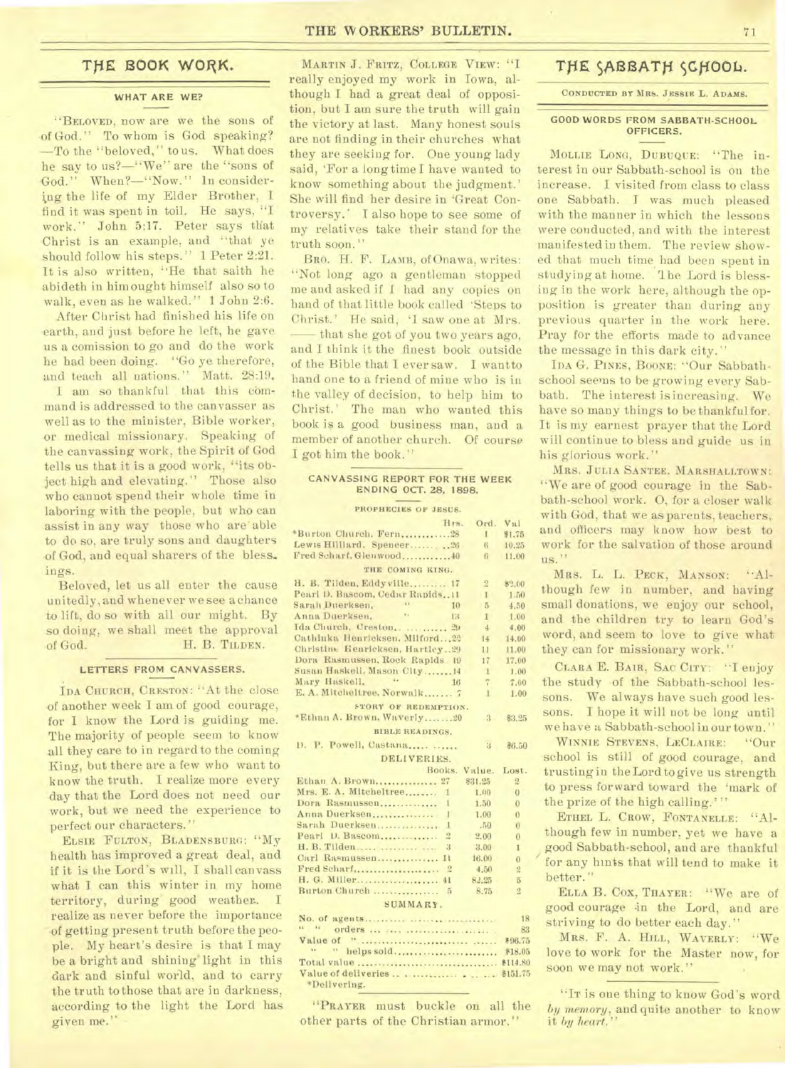# THE BOOK WORK.

#### WHAT ARE WE?

"BELOVED, now are we the sons of of God." To whom is God speaking? -To the "beloved," to us. What does he say to us?-"We" are the "sons of God." When?-"Now." In considering the life of my Elder Brother, I find it was spent in toil. He says, "I work." John 5:17. Peter says that Christ is an example, and "that ye should follow his steps." 1 Peter 2:21. It is also written, "He that saith he abideth in him ought himself also so to walk, even as he walked." 1 John 2:6.

After Christ had finished his life on earth, and just before he left, he gave us a comission to go and do the work he had been doing. "Go ye therefore, and teach all nations." Matt. 28:19.

I am so thankful that this command is addressed to the canvasser as well as to the minister, Bible worker, or medical missionary. Speaking of the canvassing work, the Spirit of God tells us that it is a good work, "its object high and elevating." Those also who cannot spend their whole time in laboring with the people, but who can assist in any way those who are' able to do so, are truly sons and daughters of God, and equal sharers of the bless. ings.

Beloved, let us all enter the cause unitedly, and whenever we see a chance to lift, do so with all our might. By so doing, we shall meet the approval of God. H. B. TILDEN.

#### LETTERS FROM CANVASSERS.

IDA CHURCH, CRESTON: "At the close of another week I am of good courage, for I know the Lord is guiding me. The majority of people seem to know all they care to in regard to the coming King, but there are a few who want to know the truth. I realize more every day that the Lord does not need our work, but we need the experience to perfect our characters."

ELSIE FULTON, BLADENSBURG: "My health has improved a great deal, and if it is the Lord's will, I shall canvass what I can this winter in my home territory, during good weather. I realize as never before the importance of getting present truth before the people. My heart's desire is that I may be a bright and shining' light in this dark and sinful world, and to carry the truth to those that are in darkness, according to the light the Lord has given me."

MARTIN J. FRITZ, COLLEGE VIEW: "I really enjoyed my work in Iowa, although I had a great deal of opposition, but I am sure the truth will gain the victory at last. Many honest souls are not finding in their churches what they are seeking for. One young lady said, 'For a longtime I have wanted to know something about the judgment.' She will find her desire in 'Great Controversy.' I also hope to see some of my relatives take their stand for the truth soon."

BRO. H. F. LAMB, of Onawa, writes: "Not long ago a gentleman stopped me and asked if I had any copies on hand of that little book called 'Steps to Christ.' He said, 'I saw one at Mrs. that she got of you two years ago, and I think it the finest book outside of the Bible that I ever saw. I wantto hand one to a friend of mine who is in the valley of decision, to help him to Christ.' The man who wanted this book is a good business man, and a member of another church. Of course I got him the book."

CANVASSING REPORT FOR THE WEEK ENDING OCT. 28, 1898. PROPHECIES OF JESUS. Hrs. Ord. Val. 28 \*Burton Church. Fern 28 1 \$1.75 Lewis Hilliard, Spencer 26 6 10.25<br>Fred Scharf, Glenwood...............40 6 11.00 Fred Scharf. Glenwood............40 **THE COMING KING.**  H. B. Tilden, Eddy ville......... 17 2 \$2.00<br>Pearl D. Bascom, Cedar Rapids...11 1 1.50 Pearl D. Bascom, Cedar Rapids 11 1 1.50<br>Sarah Duerksen, ... 10 5 4.50 Sarah Duerksen, 11 10 5 4.50<br>Anna Duerksen, 11 13 1 1.00 Anna Duerksen, \* 13 1 1.00<br>1da Church, Creston, \* 13 1 4 4.00 Ida Church, Creston. . . . . . . . . . 29 4 4.00<br>Cathinka Henricksen, Milford. . . 22 14 14.00 Cathinka Henricksen. Milford 22 14 14.00<br>Christine Henricksen. Hartley 29 11 11.00 enristine Henricksen, Hartley 29 11 11.00<br>Dora Rasmussen, Rock Rapids 19 17 17.00 Dora Rasmussen, Rock Rapids 19 17 17.00 Susan Haskell, Mason City ....... 14 1 1.00<br>Mary Haskell,  $\frac{16}{16}$  7 7.00 Mary Haskell, ... 16 7 7.00<br>E. A. Mitcheltree, Norwalk, ... ... 7 1 1.00 E. A. Mitcheltree. Norwalk........ 7 **FTORY OF REDEMPTION.** \*Ethan A. Brown. Waverly........20 3 \$3.25 **BIBLE READINGS.**  1). P. Powell, Castana..... ....... 3 \$6.50 DELI VERIES. Books. Value. Lost. Ethan A. Brown 27 \$31.25 2 Mrs. E. A. Mitcheltree........ 1 1.00 0<br>Dora Rasmussen. 1 1.50 0 **Dora Rasmussen................ 1 1.50**<br>Anna Duerksen.................... 1 1.00 Anna Duerksen 1 1.00 0<br>Sarah Duerksen 1 50 0 Sarah Duerksen................. 1 .50 0<br>Pearl D. Bascom.................. 2 2.00 0 Pearl D. Bascom 2 2.00 0 U. B. Tilden..... ......... 3 3.00 <sup>1</sup> Carl Rasmussen 11 16.00 <sup>0</sup> Fred Scharf 2 4.50 2 H. G. Miller... ...... . ...... 41 82.25 5

#### Burton Church .................. 5 SUMMARY.

|              | 18 |
|--------------|----|
|              | 83 |
|              |    |
|              |    |
|              |    |
|              |    |
| *Delivering. |    |
|              |    |

"PRAYER must buckle on all the other parts of the Christian armor."

# THE SABBATH SCHOOL.

**CONDUCTED BY MRS. J ESSIE** L. **ADAMS.** 

#### GOOD WORDS FROM SABBATH-SCHOOL OFFICERS.

MOLLIE LONG, DUBUQUE: "The interest in our Sabbath-school is on the increase. I visited from class to class one Sabbath. I was much pleased with the manner in which the lessons were conducted, and with the interest manifested in them. The review showed that much time had been spent in studying at home. The Lord is blessing in the work here, although the opposition is greater than during any previous quarter in the work here. Pray for the efforts made to advance the message in this dark city."

IDA G. PINES, BOONE: "Our Sabbathschool seems to be growing every Sabbath. The interest is increasing. We have so many things to be thankful for. It is my earnest prayer that the Lord will continue to bless and guide us in his glorious work."

MRS. JULIA SANTEE. MARSHALLTOWN: "We are of good courage in the Sabbath-school work. 0, for a closer walk with God, that we as parents, teachers, and officers may know how best to work for the salvation of those around us."

MRS. L. L. PECK, MANSON: "Although few in number, and having small donations, we enjoy our school, and the children try to learn God's word, and seem to love to give what they can for missionary work."

CLARA E. BAIR, SAC CITY: "I enjoy the study of the Sabbath-school lessons. We always have such good lessons. I hope it will not be long until we have a Sabbath-school in our town. "

WINNIE STEVENS, LECLAIRE: "Our school is still of good courage, and trusting in the Lord to give us strength to press forward toward the 'mark of the prize of the high calling.'"

ETHEL L. CROW, FONTANELLE: "Although few in number, yet we have a good Sabbath-school, and are thankful for any hints that will tend to make it better."

ELLA B. Cox, THAYER: "We are of good courage in the Lord, and are striving to do better each day."

MRS. F. A. HILL, WAVERLY: "We love to work for the Master now, for soon we may not work."

"IT is one thing to know God's word *by memory,* and quite another to know it *by heart*.